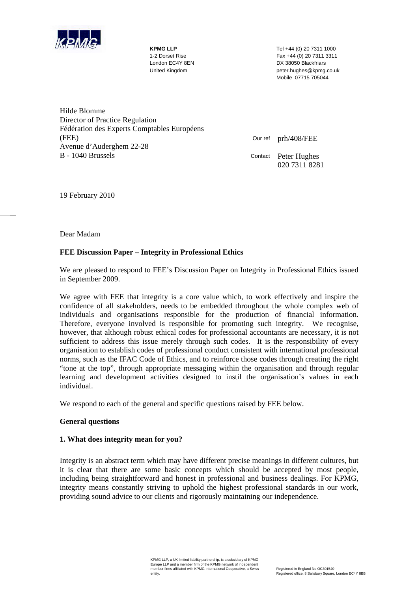

**KPMG LLP** Tel +44 (0) 20 7311 1000 1-2 Dorset Rise Fax +44 (0) 20 7311 3311 London EC4Y 8EN DX 38050 Blackfriars United Kingdom peter.hughes@kpmg.co.uk Mobile 07715 705044

Hilde Blomme Director of Practice Regulation Fédération des Experts Comptables Européens (FEE) Avenue d'Auderghem 22-28 B - 1040 Brussels

Our ref prh/408/FEE Contact Peter Hughes 020 7311 8281

19 February 2010

Dear Madam

## **FEE Discussion Paper – Integrity in Professional Ethics**

We are pleased to respond to FEE's Discussion Paper on Integrity in Professional Ethics issued in September 2009.

We agree with FEE that integrity is a core value which, to work effectively and inspire the confidence of all stakeholders, needs to be embedded throughout the whole complex web of individuals and organisations responsible for the production of financial information. Therefore, everyone involved is responsible for promoting such integrity. We recognise, however, that although robust ethical codes for professional accountants are necessary, it is not sufficient to address this issue merely through such codes. It is the responsibility of every organisation to establish codes of professional conduct consistent with international professional norms, such as the IFAC Code of Ethics, and to reinforce those codes through creating the right "tone at the top", through appropriate messaging within the organisation and through regular learning and development activities designed to instil the organisation's values in each individual.

We respond to each of the general and specific questions raised by FEE below.

### **General questions**

### **1. What does integrity mean for you?**

Integrity is an abstract term which may have different precise meanings in different cultures, but it is clear that there are some basic concepts which should be accepted by most people, including being straightforward and honest in professional and business dealings. For KPMG, integrity means constantly striving to uphold the highest professional standards in our work, providing sound advice to our clients and rigorously maintaining our independence.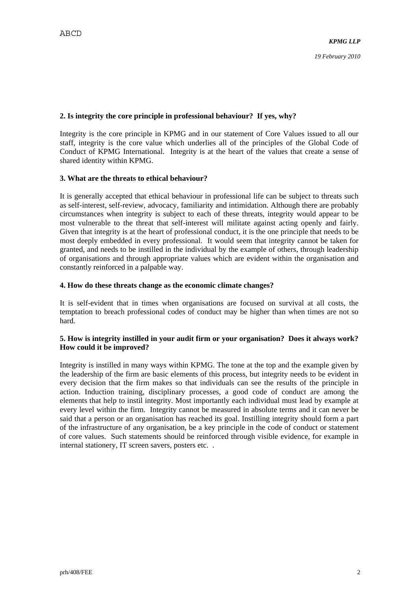## **2. Is integrity the core principle in professional behaviour? If yes, why?**

Integrity is the core principle in KPMG and in our statement of Core Values issued to all our staff, integrity is the core value which underlies all of the principles of the Global Code of Conduct of KPMG International. Integrity is at the heart of the values that create a sense of shared identity within KPMG.

### **3. What are the threats to ethical behaviour?**

It is generally accepted that ethical behaviour in professional life can be subject to threats such as self-interest, self-review, advocacy, familiarity and intimidation. Although there are probably circumstances when integrity is subject to each of these threats, integrity would appear to be most vulnerable to the threat that self-interest will militate against acting openly and fairly. Given that integrity is at the heart of professional conduct, it is the one principle that needs to be most deeply embedded in every professional. It would seem that integrity cannot be taken for granted, and needs to be instilled in the individual by the example of others, through leadership of organisations and through appropriate values which are evident within the organisation and constantly reinforced in a palpable way.

#### **4. How do these threats change as the economic climate changes?**

It is self-evident that in times when organisations are focused on survival at all costs, the temptation to breach professional codes of conduct may be higher than when times are not so hard.

### **5. How is integrity instilled in your audit firm or your organisation? Does it always work? How could it be improved?**

Integrity is instilled in many ways within KPMG. The tone at the top and the example given by the leadership of the firm are basic elements of this process, but integrity needs to be evident in every decision that the firm makes so that individuals can see the results of the principle in action. Induction training, disciplinary processes, a good code of conduct are among the elements that help to instil integrity. Most importantly each individual must lead by example at every level within the firm. Integrity cannot be measured in absolute terms and it can never be said that a person or an organisation has reached its goal. Instilling integrity should form a part of the infrastructure of any organisation, be a key principle in the code of conduct or statement of core values. Such statements should be reinforced through visible evidence, for example in internal stationery, IT screen savers, posters etc. .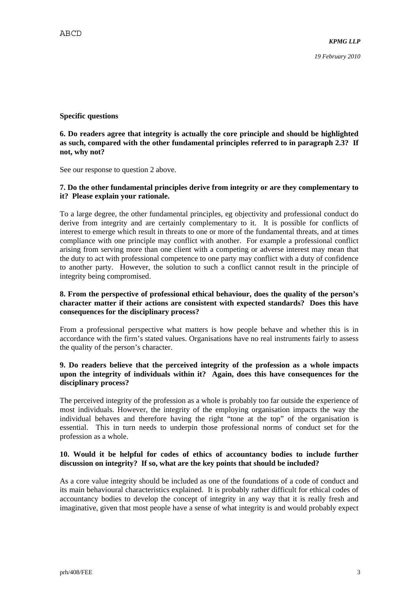## **Specific questions**

### **6. Do readers agree that integrity is actually the core principle and should be highlighted as such, compared with the other fundamental principles referred to in paragraph 2.3? If not, why not?**

See our response to question 2 above.

## **7. Do the other fundamental principles derive from integrity or are they complementary to it? Please explain your rationale.**

To a large degree, the other fundamental principles, eg objectivity and professional conduct do derive from integrity and are certainly complementary to it. It is possible for conflicts of interest to emerge which result in threats to one or more of the fundamental threats, and at times compliance with one principle may conflict with another. For example a professional conflict arising from serving more than one client with a competing or adverse interest may mean that the duty to act with professional competence to one party may conflict with a duty of confidence to another party. However, the solution to such a conflict cannot result in the principle of integrity being compromised.

## **8. From the perspective of professional ethical behaviour, does the quality of the person's character matter if their actions are consistent with expected standards? Does this have consequences for the disciplinary process?**

From a professional perspective what matters is how people behave and whether this is in accordance with the firm's stated values. Organisations have no real instruments fairly to assess the quality of the person's character.

### **9. Do readers believe that the perceived integrity of the profession as a whole impacts upon the integrity of individuals within it? Again, does this have consequences for the disciplinary process?**

The perceived integrity of the profession as a whole is probably too far outside the experience of most individuals. However, the integrity of the employing organisation impacts the way the individual behaves and therefore having the right "tone at the top" of the organisation is essential. This in turn needs to underpin those professional norms of conduct set for the profession as a whole.

### **10. Would it be helpful for codes of ethics of accountancy bodies to include further discussion on integrity? If so, what are the key points that should be included?**

As a core value integrity should be included as one of the foundations of a code of conduct and its main behavioural characteristics explained. It is probably rather difficult for ethical codes of accountancy bodies to develop the concept of integrity in any way that it is really fresh and imaginative, given that most people have a sense of what integrity is and would probably expect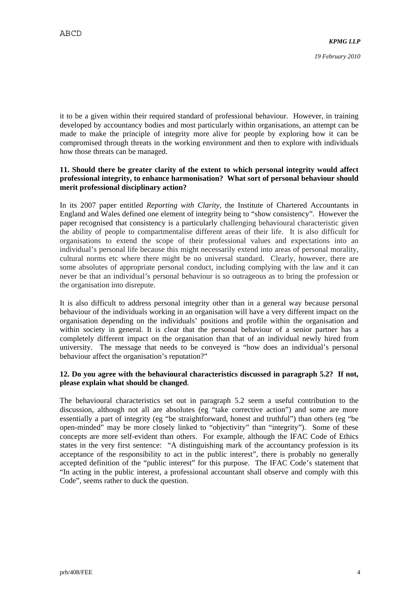it to be a given within their required standard of professional behaviour. However, in training developed by accountancy bodies and most particularly within organisations, an attempt can be made to make the principle of integrity more alive for people by exploring how it can be compromised through threats in the working environment and then to explore with individuals how those threats can be managed.

### **11. Should there be greater clarity of the extent to which personal integrity would affect professional integrity, to enhance harmonisation? What sort of personal behaviour should merit professional disciplinary action?**

In its 2007 paper entitled *Reporting with Clarity*, the Institute of Chartered Accountants in England and Wales defined one element of integrity being to "show consistency". However the paper recognised that consistency is a particularly challenging behavioural characteristic given the ability of people to compartmentalise different areas of their life. It is also difficult for organisations to extend the scope of their professional values and expectations into an individual's personal life because this might necessarily extend into areas of personal morality, cultural norms etc where there might be no universal standard. Clearly, however, there are some absolutes of appropriate personal conduct, including complying with the law and it can never be that an individual's personal behaviour is so outrageous as to bring the profession or the organisation into disrepute.

It is also difficult to address personal integrity other than in a general way because personal behaviour of the individuals working in an organisation will have a very different impact on the organisation depending on the individuals' positions and profile within the organisation and within society in general. It is clear that the personal behaviour of a senior partner has a completely different impact on the organisation than that of an individual newly hired from university. The message that needs to be conveyed is "how does an individual's personal behaviour affect the organisation's reputation?"

## **12. Do you agree with the behavioural characteristics discussed in paragraph 5.2? If not, please explain what should be changed**.

The behavioural characteristics set out in paragraph 5.2 seem a useful contribution to the discussion, although not all are absolutes (eg "take corrective action") and some are more essentially a part of integrity (eg "be straightforward, honest and truthful") than others (eg "be open-minded" may be more closely linked to "objectivity" than "integrity"). Some of these concepts are more self-evident than others. For example, although the IFAC Code of Ethics states in the very first sentence: "A distinguishing mark of the accountancy profession is its acceptance of the responsibility to act in the public interest", there is probably no generally accepted definition of the "public interest" for this purpose. The IFAC Code's statement that "In acting in the public interest, a professional accountant shall observe and comply with this Code", seems rather to duck the question.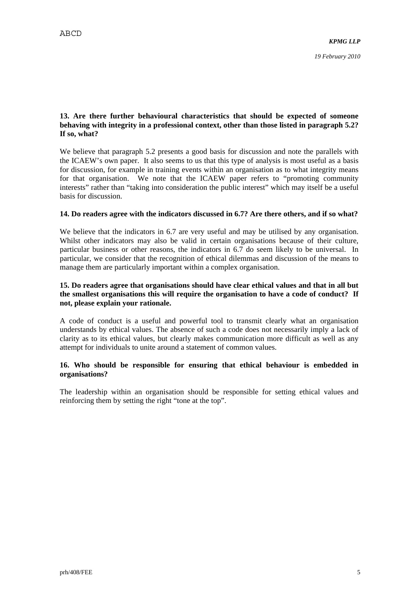# **13. Are there further behavioural characteristics that should be expected of someone behaving with integrity in a professional context, other than those listed in paragraph 5.2? If so, what?**

We believe that paragraph 5.2 presents a good basis for discussion and note the parallels with the ICAEW's own paper. It also seems to us that this type of analysis is most useful as a basis for discussion, for example in training events within an organisation as to what integrity means for that organisation. We note that the ICAEW paper refers to "promoting community interests" rather than "taking into consideration the public interest" which may itself be a useful basis for discussion.

## **14. Do readers agree with the indicators discussed in 6.7? Are there others, and if so what?**

We believe that the indicators in 6.7 are very useful and may be utilised by any organisation. Whilst other indicators may also be valid in certain organisations because of their culture, particular business or other reasons, the indicators in 6.7 do seem likely to be universal. In particular, we consider that the recognition of ethical dilemmas and discussion of the means to manage them are particularly important within a complex organisation.

# **15. Do readers agree that organisations should have clear ethical values and that in all but the smallest organisations this will require the organisation to have a code of conduct? If not, please explain your rationale.**

A code of conduct is a useful and powerful tool to transmit clearly what an organisation understands by ethical values. The absence of such a code does not necessarily imply a lack of clarity as to its ethical values, but clearly makes communication more difficult as well as any attempt for individuals to unite around a statement of common values.

## **16. Who should be responsible for ensuring that ethical behaviour is embedded in organisations?**

The leadership within an organisation should be responsible for setting ethical values and reinforcing them by setting the right "tone at the top".